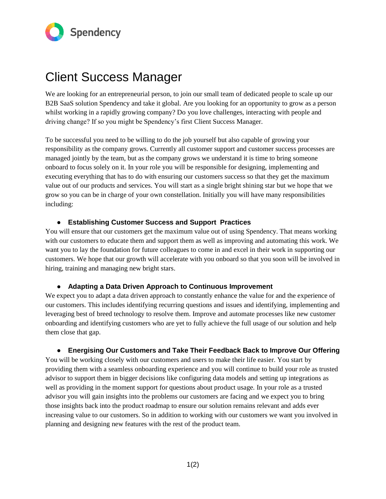

## Client Success Manager

We are looking for an entrepreneurial person, to join our small team of dedicated people to scale up our B2B SaaS solution Spendency and take it global. Are you looking for an opportunity to grow as a person whilst working in a rapidly growing company? Do you love challenges, interacting with people and driving change? If so you might be Spendency's first Client Success Manager.

To be successful you need to be willing to do the job yourself but also capable of growing your responsibility as the company grows. Currently all customer support and customer success processes are managed jointly by the team, but as the company grows we understand it is time to bring someone onboard to focus solely on it. In your role you will be responsible for designing, implementing and executing everything that has to do with ensuring our customers success so that they get the maximum value out of our products and services. You will start as a single bright shining star but we hope that we grow so you can be in charge of your own constellation. Initially you will have many responsibilities including:

### ● **Establishing Customer Success and Support Practices**

You will ensure that our customers get the maximum value out of using Spendency. That means working with our customers to educate them and support them as well as improving and automating this work. We want you to lay the foundation for future colleagues to come in and excel in their work in supporting our customers. We hope that our growth will accelerate with you onboard so that you soon will be involved in hiring, training and managing new bright stars.

### ● **Adapting a Data Driven Approach to Continuous Improvement**

We expect you to adapt a data driven approach to constantly enhance the value for and the experience of our customers. This includes identifying recurring questions and issues and identifying, implementing and leveraging best of breed technology to resolve them. Improve and automate processes like new customer onboarding and identifying customers who are yet to fully achieve the full usage of our solution and help them close that gap.

### ● **Energising Our Customers and Take Their Feedback Back to Improve Our Offering**

You will be working closely with our customers and users to make their life easier. You start by providing them with a seamless onboarding experience and you will continue to build your role as trusted advisor to support them in bigger decisions like configuring data models and setting up integrations as well as providing in the moment support for questions about product usage. In your role as a trusted advisor you will gain insights into the problems our customers are facing and we expect you to bring those insights back into the product roadmap to ensure our solution remains relevant and adds ever increasing value to our customers. So in addition to working with our customers we want you involved in planning and designing new features with the rest of the product team.